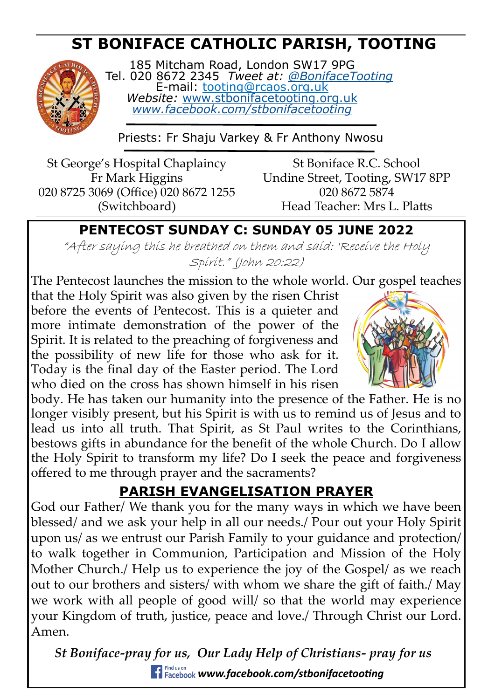# **ST BONIFACE CATHOLIC PARISH, TOOTING**



185 Mitcham Road, London SW17 9PG Tel. 020 8672 2345 *Tweet at: [@BonifaceTooting](http://twitter.com/bonifacetooting)* E-mail: tooting@rcaos.org.uk *Website:* [www.stbonifacetooting.org.uk](http://www.stbonifacetooting.org.uk) *[www.facebook.com/stbonifacetooting](http://www.facebook.com/stbonifacetooting)*

Priests: Fr Shaju Varkey & Fr Anthony Nwosu

St George's Hospital Chaplaincy Fr Mark Higgins 020 8725 3069 (Office) 020 8672 1255 (Switchboard)

St Boniface R.C. School Undine Street, Tooting, SW17 8PP 020 8672 5874 Head Teacher: Mrs L. Platts

## **PENTECOST SUNDAY C: SUNDAY 05 JUNE 2022**

"After saying this he breathed on them and said: 'Receive the Holy Spirit." (John 20:22)

The Pentecost launches the mission to the whole world. Our gospel teaches that the Holy Spirit was also given by the risen Christ before the events of Pentecost. This is a quieter and more intimate demonstration of the power of the Spirit. It is related to the preaching of forgiveness and the possibility of new life for those who ask for it. Today is the final day of the Easter period. The Lord who died on the cross has shown himself in his risen



body. He has taken our humanity into the presence of the Father. He is no longer visibly present, but his Spirit is with us to remind us of Jesus and to lead us into all truth. That Spirit, as St Paul writes to the Corinthians, bestows gifts in abundance for the benefit of the whole Church. Do I allow the Holy Spirit to transform my life? Do I seek the peace and forgiveness offered to me through prayer and the sacraments?

# **PARISH EVANGELISATION PRAYER**

God our Father/ We thank you for the many ways in which we have been blessed/ and we ask your help in all our needs./ Pour out your Holy Spirit upon us/ as we entrust our Parish Family to your guidance and protection/ to walk together in Communion, Participation and Mission of the Holy Mother Church./ Help us to experience the joy of the Gospel/ as we reach out to our brothers and sisters/ with whom we share the gift of faith./ May we work with all people of good will/ so that the world may experience your Kingdom of truth, justice, peace and love./ Through Christ our Lord. Amen.

*St Boniface-pray for us, Our Lady Help of Christians- pray for us www.facebook.com/stbonifacetooting*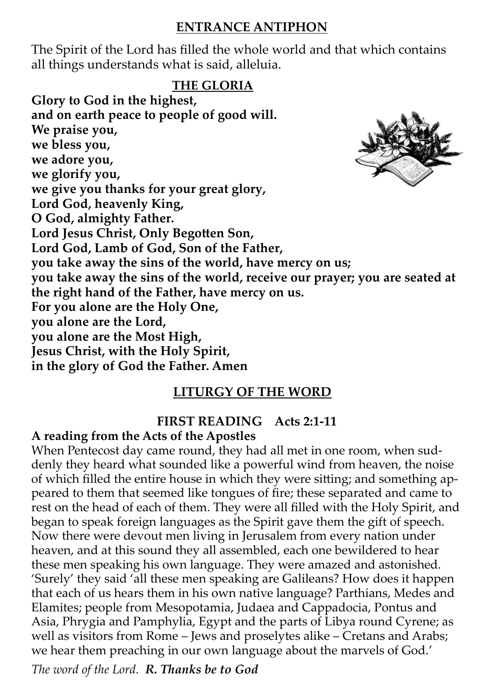### **ENTRANCE ANTIPHON**

The Spirit of the Lord has filled the whole world and that which contains all things understands what is said, alleluia.

#### **THE GLORIA**

**Glory to God in the highest, and on earth peace to people of good will. We praise you, we bless you, we adore you, we glorify you, we give you thanks for your great glory, Lord God, heavenly King, O God, almighty Father. Lord Jesus Christ, Only Begotten Son, Lord God, Lamb of God, Son of the Father, you take away the sins of the world, have mercy on us; you take away the sins of the world, receive our prayer; you are seated at the right hand of the Father, have mercy on us. For you alone are the Holy One, you alone are the Lord, you alone are the Most High, Jesus Christ, with the Holy Spirit, in the glory of God the Father. Amen** 

### **LITURGY OF THE WORD**

### **FIRST READING Acts 2:1-11**

#### **A reading from the Acts of the Apostles**

When Pentecost day came round, they had all met in one room, when suddenly they heard what sounded like a powerful wind from heaven, the noise of which filled the entire house in which they were sitting; and something appeared to them that seemed like tongues of fire; these separated and came to rest on the head of each of them. They were all filled with the Holy Spirit, and began to speak foreign languages as the Spirit gave them the gift of speech. Now there were devout men living in Jerusalem from every nation under heaven, and at this sound they all assembled, each one bewildered to hear these men speaking his own language. They were amazed and astonished. 'Surely' they said 'all these men speaking are Galileans? How does it happen that each of us hears them in his own native language? Parthians, Medes and Elamites; people from Mesopotamia, Judaea and Cappadocia, Pontus and Asia, Phrygia and Pamphylia, Egypt and the parts of Libya round Cyrene; as well as visitors from Rome – Jews and proselytes alike – Cretans and Arabs; we hear them preaching in our own language about the marvels of God.'

*The word of the Lord. R. Thanks be to God*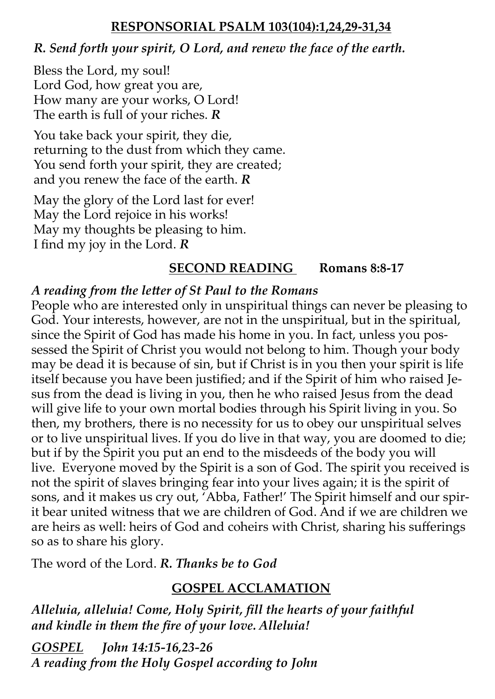#### **RESPONSORIAL PSALM 103(104):1,24,29-31,34**

#### *R. Send forth your spirit, O Lord, and renew the face of the earth.*

Bless the Lord, my soul! Lord God, how great you are, How many are your works, O Lord! The earth is full of your riches. *R*

You take back your spirit, they die, returning to the dust from which they came. You send forth your spirit, they are created; and you renew the face of the earth. *R*

May the glory of the Lord last for ever! May the Lord rejoice in his works! May my thoughts be pleasing to him. I find my joy in the Lord. *R*

### **SECOND READING Romans 8:8-17**

### *A reading from the letter of St Paul to the Romans*

People who are interested only in unspiritual things can never be pleasing to God. Your interests, however, are not in the unspiritual, but in the spiritual, since the Spirit of God has made his home in you. In fact, unless you possessed the Spirit of Christ you would not belong to him. Though your body may be dead it is because of sin, but if Christ is in you then your spirit is life itself because you have been justified; and if the Spirit of him who raised Jesus from the dead is living in you, then he who raised Jesus from the dead will give life to your own mortal bodies through his Spirit living in you. So then, my brothers, there is no necessity for us to obey our unspiritual selves or to live unspiritual lives. If you do live in that way, you are doomed to die; but if by the Spirit you put an end to the misdeeds of the body you will live. Everyone moved by the Spirit is a son of God. The spirit you received is not the spirit of slaves bringing fear into your lives again; it is the spirit of sons, and it makes us cry out, 'Abba, Father!' The Spirit himself and our spirit bear united witness that we are children of God. And if we are children we are heirs as well: heirs of God and coheirs with Christ, sharing his sufferings so as to share his glory.

The word of the Lord. *R. Thanks be to God* 

### **GOSPEL ACCLAMATION**

*Alleluia, alleluia! Come, Holy Spirit, fill the hearts of your faithful and kindle in them the fire of your love. Alleluia!*

*GOSPEL John 14:15-16,23-26 A reading from the Holy Gospel according to John*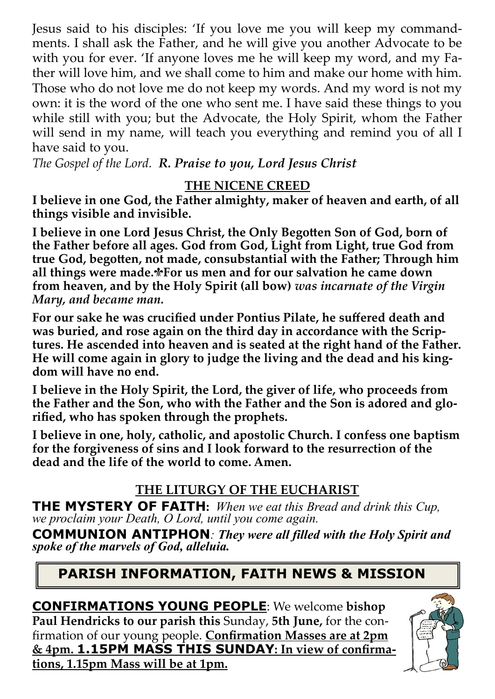Jesus said to his disciples: 'If you love me you will keep my commandments. I shall ask the Father, and he will give you another Advocate to be with you for ever. 'If anyone loves me he will keep my word, and my Father will love him, and we shall come to him and make our home with him. Those who do not love me do not keep my words. And my word is not my own: it is the word of the one who sent me. I have said these things to you while still with you; but the Advocate, the Holy Spirit, whom the Father will send in my name, will teach you everything and remind you of all I have said to you.

*The Gospel of the Lord. R. Praise to you, Lord Jesus Christ*

### **THE NICENE CREED**

**I believe in one God, the Father almighty, maker of heaven and earth, of all things visible and invisible.**

**I believe in one Lord Jesus Christ, the Only Begotten Son of God, born of the Father before all ages. God from God, Light from Light, true God from true God, begotten, not made, consubstantial with the Father; Through him all things were made.
For us men and for our salvation he came down from heaven, and by the Holy Spirit (all bow)** *was incarnate of the Virgin Mary, and became man.*

**For our sake he was crucified under Pontius Pilate, he suffered death and was buried, and rose again on the third day in accordance with the Scriptures. He ascended into heaven and is seated at the right hand of the Father. He will come again in glory to judge the living and the dead and his kingdom will have no end.**

**I believe in the Holy Spirit, the Lord, the giver of life, who proceeds from the Father and the Son, who with the Father and the Son is adored and glorified, who has spoken through the prophets.**

**I believe in one, holy, catholic, and apostolic Church. I confess one baptism for the forgiveness of sins and I look forward to the resurrection of the dead and the life of the world to come. Amen.**

### **THE LITURGY OF THE EUCHARIST**

**THE MYSTERY OF FAITH:** *When we eat this Bread and drink this Cup, we proclaim your Death, O Lord, until you come again.* 

**COMMUNION ANTIPHON***: They were all filled with the Holy Spirit and spoke of the marvels of God, alleluia.* 

# **PARISH INFORMATION, FAITH NEWS & MISSION**

**CONFIRMATIONS YOUNG PEOPLE**: We welcome **bishop Paul Hendricks to our parish this** Sunday, **5th June,** for the confirmation of our young people. **Confirmation Masses are at 2pm & 4pm. 1.15PM MASS THIS SUNDAY: In view of confirmations, 1.15pm Mass will be at 1pm.**

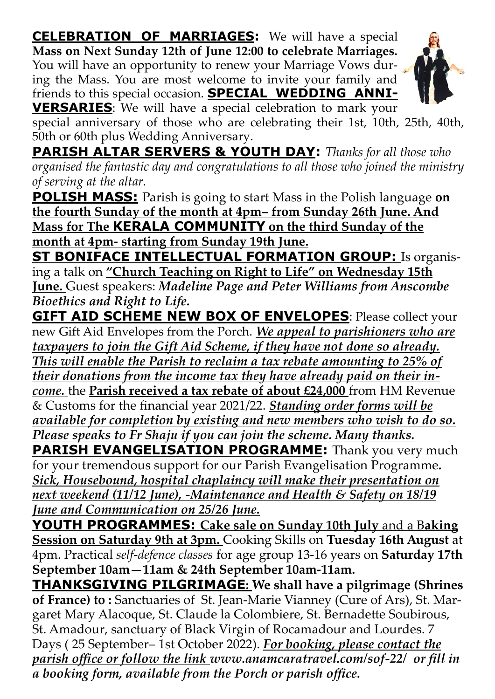**CELEBRATION OF MARRIAGES:** We will have a special **Mass on Next Sunday 12th of June 12:00 to celebrate Marriages.**  You will have an opportunity to renew your Marriage Vows during the Mass. You are most welcome to invite your family and friends to this special occasion. **SPECIAL WEDDING ANNI-**



**VERSARIES**: We will have a special celebration to mark your special anniversary of those who are celebrating their 1st, 10th, 25th, 40th, 50th or 60th plus Wedding Anniversary.

**PARISH ALTAR SERVERS & YOUTH DAY:** *Thanks for all those who organised the fantastic day and congratulations to all those who joined the ministry of serving at the altar.* 

**POLISH MASS:** Parish is going to start Mass in the Polish language **on the fourth Sunday of the month at 4pm– from Sunday 26th June. And Mass for The KERALA COMMUNITY on the third Sunday of the month at 4pm- starting from Sunday 19th June.** 

**ST BONIFACE INTELLECTUAL FORMATION GROUP:** Is organising a talk on **"Church Teaching on Right to Life" on Wednesday 15th June.** Guest speakers: *Madeline Page and Peter Williams from Anscombe Bioethics and Right to Life.*

**GIFT AID SCHEME NEW BOX OF ENVELOPES: Please collect your** new Gift Aid Envelopes from the Porch. *We appeal to parishioners who are taxpayers to join the Gift Aid Scheme, if they have not done so already. This will enable the Parish to reclaim a tax rebate amounting to 25% of their donations from the income tax they have already paid on their income.* the **Parish received a tax rebate of about £24,000** from HM Revenue & Customs for the financial year 2021/22. *Standing order forms will be available for completion by existing and new members who wish to do so. Please speaks to Fr Shaju if you can join the scheme. Many thanks.* **PARISH EVANGELISATION PROGRAMME:** Thank you very much for your tremendous support for our Parish Evangelisation Programme*.* 

*Sick, Housebound, hospital chaplaincy will make their presentation on next weekend (11/12 June), -Maintenance and Health & Safety on 18/19 June and Communication on 25/26 June.*

**YOUTH PROGRAMMES: Cake sale on Sunday 10th July** and a B**aking Session on Saturday 9th at 3pm.** Cooking Skills on **Tuesday 16th August** at 4pm. Practical *self*-*defence classes* for age group 13-16 years on **Saturday 17th September 10am—11am & 24th September 10am-11am.** 

**THANKSGIVING PILGRIMAGE: We shall have a pilgrimage (Shrines of France) to :** Sanctuaries of St. Jean-Marie Vianney (Cure of Ars), St. Margaret Mary Alacoque, St. Claude la Colombiere, St. Bernadette Soubirous, St. Amadour, sanctuary of Black Virgin of Rocamadour and Lourdes. 7 Days ( 25 September– 1st October 2022). *For booking, please contact the parish office or follow the link www.anamcaratravel.com/sof-22/ or fill in a booking form, available from the Porch or parish office.*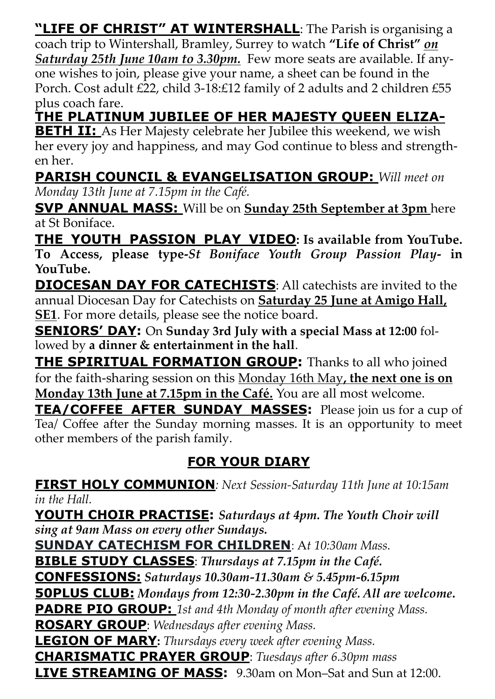**"LIFE OF CHRIST" AT WINTERSHALL**: The Parish is organising a coach trip to Wintershall, Bramley, Surrey to watch **"Life of Christ"** *on Saturday 25th June 10am to 3.30pm.* Few more seats are available. If anyone wishes to join, please give your name, a sheet can be found in the Porch. Cost adult £22, child 3-18:£12 family of 2 adults and 2 children £55 plus coach fare.

**THE PLATINUM JUBILEE OF HER MAJESTY QUEEN ELIZA-**

**BETH II:** As Her Majesty celebrate her Jubilee this weekend, we wish her every joy and happiness, and may God continue to bless and strengthen her.

# **PARISH COUNCIL & EVANGELISATION GROUP:** *Will meet on*

*Monday 13th June at 7.15pm in the Café.*

**SVP ANNUAL MASS:** Will be on **Sunday 25th September at 3pm** here at St Boniface.

**THE YOUTH PASSION PLAY VIDEO: Is available from YouTube. To Access, please type-***St Boniface Youth Group Passion Play***- in YouTube.**

**DIOCESAN DAY FOR CATECHISTS**: All catechists are invited to the annual Diocesan Day for Catechists on **Saturday 25 June at Amigo Hall, SE1**. For more details, please see the notice board.

**SENIORS' DAY:** On **Sunday 3rd July with a special Mass at 12:00** followed by **a dinner & entertainment in the hall**.

**THE SPIRITUAL FORMATION GROUP:** Thanks to all who joined for the faith-sharing session on this Monday 16th May**, the next one is on Monday 13th June at 7.15pm in the Café.** You are all most welcome.

**TEA/COFFEE AFTER SUNDAY MASSES:** Please join us for a cup of Tea/ Coffee after the Sunday morning masses. It is an opportunity to meet other members of the parish family.

# **FOR YOUR DIARY**

**FIRST HOLY COMMUNION***: Next Session-Saturday 11th June at 10:15am in the Hall.* 

**YOUTH CHOIR PRACTISE:** *Saturdays at 4pm. The Youth Choir will sing at 9am Mass on every other Sundays.*

**SUNDAY CATECHISM FOR CHILDREN**: A*t 10:30am Mass.* 

**BIBLE STUDY CLASSES**: *Thursdays at 7.15pm in the Café.* 

**CONFESSIONS:** *Saturdays 10.30am-11.30am & 5.45pm-6.15pm*

**50PLUS CLUB:** *Mondays from 12:30-2.30pm in the Café. All are welcome***.**

**PADRE PIO GROUP:** *1st and 4th Monday of month after evening Mass.* 

**ROSARY GROUP**: *Wednesdays after evening Mass.*

**LEGION OF MARY:** *Thursdays every week after evening Mass.*

**CHARISMATIC PRAYER GROUP**: *Tuesdays after 6.30pm mass*

**LIVE STREAMING OF MASS:** 9.30am on Mon–Sat and Sun at 12:00.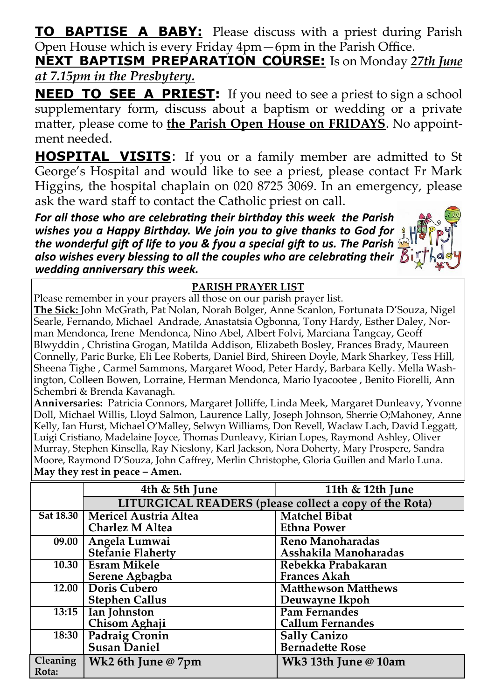**TO BAPTISE A BABY:** Please discuss with a priest during Parish Open House which is every Friday 4pm—6pm in the Parish Office.

**NEXT BAPTISM PREPARATION COURSE:** Is on Monday *27th June at 7.15pm in the Presbytery.*

**NEED TO SEE A PRIEST:** If you need to see a priest to sign a school supplementary form, discuss about a baptism or wedding or a private matter, please come to **the Parish Open House on FRIDAYS**. No appointment needed.

**HOSPITAL VISITS:** If you or a family member are admitted to St George's Hospital and would like to see a priest, please contact Fr Mark Higgins, the hospital chaplain on 020 8725 3069. In an emergency, please ask the ward staff to contact the Catholic priest on call.

*For all those who are celebrating their birthday this week the Parish wishes you a Happy Birthday. We join you to give thanks to God for the wonderful gift of life to you & fyou a special gift to us. The Parish also wishes every blessing to all the couples who are celebrating their wedding anniversary this week.*

#### **PARISH PRAYER LIST**

Please remember in your prayers all those on our parish prayer list.

**The Sick:** John McGrath, Pat Nolan, Norah Bolger, Anne Scanlon, Fortunata D'Souza, Nigel Searle, Fernando, Michael Andrade, Anastatsia Ogbonna, Tony Hardy, Esther Daley, Norman Mendonca, Irene Mendonca, Nino Abel, Albert Folvi, Marciana Tangcay, Geoff Blwyddin , Christina Grogan, Matilda Addison, Elizabeth Bosley, Frances Brady, Maureen Connelly, Paric Burke, Eli Lee Roberts, Daniel Bird, Shireen Doyle, Mark Sharkey, Tess Hill, Sheena Tighe , Carmel Sammons, Margaret Wood, Peter Hardy, Barbara Kelly. Mella Washington, Colleen Bowen, Lorraine, Herman Mendonca, Mario Iyacootee , Benito Fiorelli, Ann Schembri & Brenda Kavanagh.

**Anniversaries:** Patricia Connors, Margaret Jolliffe, Linda Meek, Margaret Dunleavy, Yvonne Doll, Michael Willis, Lloyd Salmon, Laurence Lally, Joseph Johnson, Sherrie O;Mahoney, Anne Kelly, Ian Hurst, Michael O'Malley, Selwyn Williams, Don Revell, Waclaw Lach, David Leggatt, Luigi Cristiano, Madelaine Joyce, Thomas Dunleavy, Kirian Lopes, Raymond Ashley, Oliver Murray, Stephen Kinsella, Ray Nieslony, Karl Jackson, Nora Doherty, Mary Prospere, Sandra Moore, Raymond D'Souza, John Caffrey, Merlin Christophe, Gloria Guillen and Marlo Luna. **May they rest in peace – Amen.**

|           | 4th & 5th June                                         | 11th & 12th June           |  |  |
|-----------|--------------------------------------------------------|----------------------------|--|--|
|           | LITURGICAL READERS (please collect a copy of the Rota) |                            |  |  |
| Sat 18.30 | <b>Mericel Austria Altea</b>                           | <b>Matchel Bibat</b>       |  |  |
|           | <b>Charlez M Altea</b>                                 | <b>Ethna Power</b>         |  |  |
| 09.00     | Angela Lumwai                                          | Reno Manoharadas           |  |  |
|           | <b>Stefanie Flaherty</b>                               | Asshakila Manoharadas      |  |  |
| 10.30     | <b>Esram Mikele</b>                                    | Rebekka Prabakaran         |  |  |
|           | Serene Agbagba                                         | <b>Frances Akah</b>        |  |  |
| 12.00     | <b>Doris Cubero</b>                                    | <b>Matthewson Matthews</b> |  |  |
|           | <b>Stephen Callus</b>                                  | Deuwayne Ikpoh             |  |  |
| 13:15     | Ian Johnston                                           | <b>Pam Fernandes</b>       |  |  |
|           | Chisom Aghaji                                          | <b>Callum Fernandes</b>    |  |  |
| 18:30     | <b>Padraig Cronin</b>                                  | <b>Sally Canizo</b>        |  |  |
|           | <b>Susan Daniel</b>                                    | <b>Bernadette Rose</b>     |  |  |
| Cleaning  | Wk2 6th June @ 7pm                                     | Wk3 13th June @ 10am       |  |  |
| Rota:     |                                                        |                            |  |  |